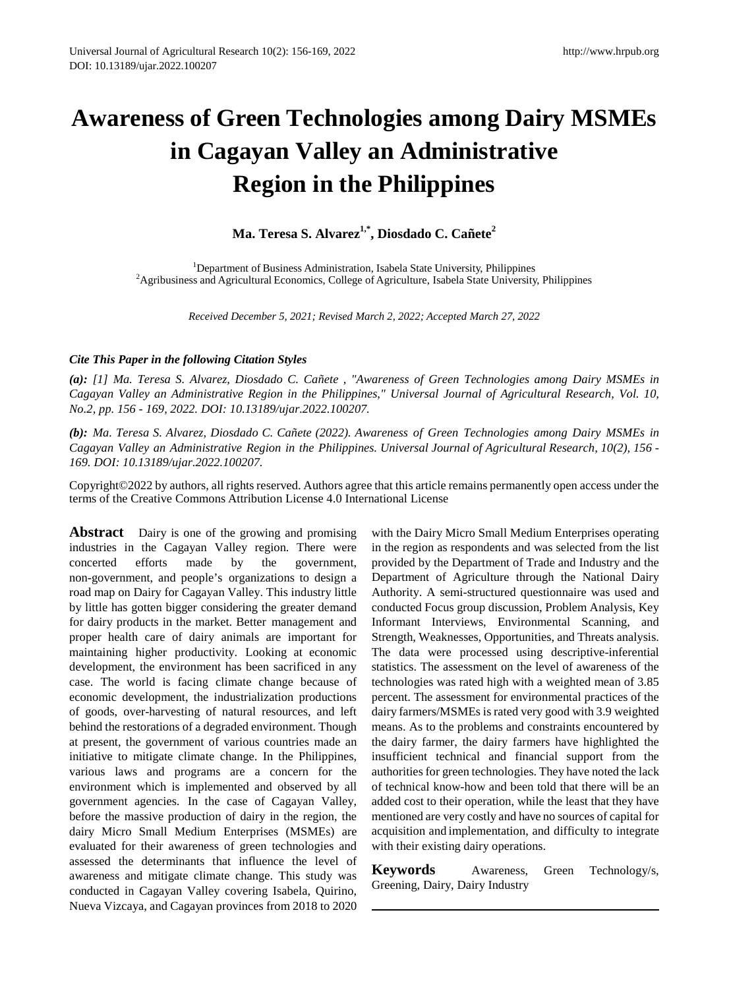# **Awareness of Green Technologies among Dairy MSMEs in Cagayan Valley an Administrative Region in the Philippines**

**Ma. Teresa S. Alvarez1,\*, Diosdado C. Cañete<sup>2</sup>**

<sup>1</sup> Department of Business Administration, Isabela State University, Philippines<br><sup>2</sup> Agribusiness and Agricultural Economics, College of Agriculture, Japhela State University <sup>2</sup>Agribusiness and Agricultural Economics, College of Agriculture, Isabela State University, Philippines

*Received December 5, 2021; Revised March 2, 2022; Accepted March 27, 2022*

#### *Cite This Paper in the following Citation Styles*

*(a): [1] Ma. Teresa S. Alvarez, Diosdado C. Cañete , "Awareness of Green Technologies among Dairy MSMEs in Cagayan Valley an Administrative Region in the Philippines," Universal Journal of Agricultural Research, Vol. 10, No.2, pp. 156 - 169, 2022. DOI: 10.13189/ujar.2022.100207.* 

*(b): Ma. Teresa S. Alvarez, Diosdado C. Cañete (2022). Awareness of Green Technologies among Dairy MSMEs in Cagayan Valley an Administrative Region in the Philippines. Universal Journal of Agricultural Research, 10(2), 156 - 169. DOI: 10.13189/ujar.2022.100207.* 

Copyright©2022 by authors, all rights reserved. Authors agree that this article remains permanently open access under the terms of the Creative Commons Attribution License 4.0 International License

**Abstract** Dairy is one of the growing and promising industries in the Cagayan Valley region. There were concerted efforts made by the government, non-government, and people's organizations to design a road map on Dairy for Cagayan Valley. This industry little by little has gotten bigger considering the greater demand for dairy products in the market. Better management and proper health care of dairy animals are important for maintaining higher productivity. Looking at economic development, the environment has been sacrificed in any case. The world is facing climate change because of economic development, the industrialization productions of goods, over-harvesting of natural resources, and left behind the restorations of a degraded environment. Though at present, the government of various countries made an initiative to mitigate climate change. In the Philippines, various laws and programs are a concern for the environment which is implemented and observed by all government agencies. In the case of Cagayan Valley, before the massive production of dairy in the region, the dairy Micro Small Medium Enterprises (MSMEs) are evaluated for their awareness of green technologies and assessed the determinants that influence the level of awareness and mitigate climate change. This study was conducted in Cagayan Valley covering Isabela, Quirino, Nueva Vizcaya, and Cagayan provinces from 2018 to 2020

with the Dairy Micro Small Medium Enterprises operating in the region as respondents and was selected from the list provided by the Department of Trade and Industry and the Department of Agriculture through the National Dairy Authority. A semi-structured questionnaire was used and conducted Focus group discussion, Problem Analysis, Key Informant Interviews, Environmental Scanning, and Strength, Weaknesses, Opportunities, and Threats analysis. The data were processed using descriptive-inferential statistics. The assessment on the level of awareness of the technologies was rated high with a weighted mean of 3.85 percent. The assessment for environmental practices of the dairy farmers/MSMEs is rated very good with 3.9 weighted means. As to the problems and constraints encountered by the dairy farmer, the dairy farmers have highlighted the insufficient technical and financial support from the authorities for green technologies. They have noted the lack of technical know-how and been told that there will be an added cost to their operation, while the least that they have mentioned are very costly and have no sources of capital for acquisition and implementation, and difficulty to integrate with their existing dairy operations.

**Keywords** Awareness, Green Technology/s, Greening, Dairy, Dairy Industry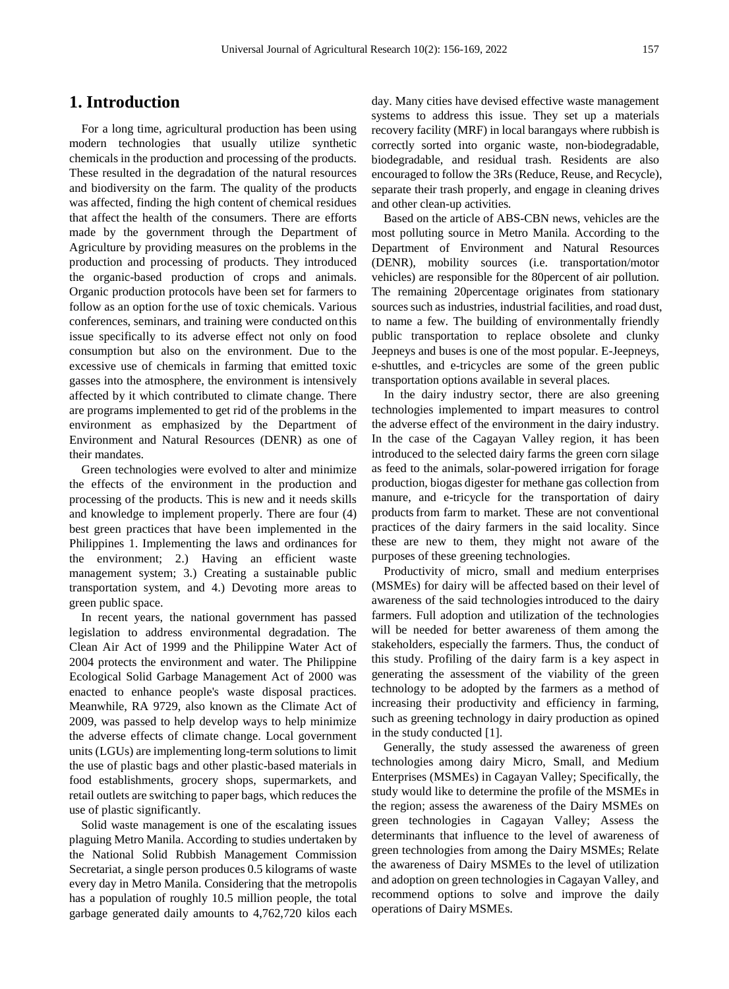## **1. Introduction**

For a long time, agricultural production has been using modern technologies that usually utilize synthetic chemicals in the production and processing of the products. These resulted in the degradation of the natural resources and biodiversity on the farm. The quality of the products was affected, finding the high content of chemical residues that affect the health of the consumers. There are efforts made by the government through the Department of Agriculture by providing measures on the problems in the production and processing of products. They introduced the organic-based production of crops and animals. Organic production protocols have been set for farmers to follow as an option forthe use of toxic chemicals. Various conferences, seminars, and training were conducted on this issue specifically to its adverse effect not only on food consumption but also on the environment. Due to the excessive use of chemicals in farming that emitted toxic gasses into the atmosphere, the environment is intensively affected by it which contributed to climate change. There are programs implemented to get rid of the problems in the environment as emphasized by the Department of Environment and Natural Resources (DENR) as one of their mandates.

Green technologies were evolved to alter and minimize the effects of the environment in the production and processing of the products. This is new and it needs skills and knowledge to implement properly. There are four (4) best green practices that have been implemented in the Philippines 1. Implementing the laws and ordinances for the environment; 2.) Having an efficient waste management system; 3.) Creating a sustainable public transportation system, and 4.) Devoting more areas to green public space.

In recent years, the national government has passed legislation to address environmental degradation. The Clean Air Act of 1999 and the Philippine Water Act of 2004 protects the environment and water. The Philippine Ecological Solid Garbage Management Act of 2000 was enacted to enhance people's waste disposal practices. Meanwhile, RA 9729, also known as the Climate Act of 2009, was passed to help develop ways to help minimize the adverse effects of climate change. Local government units (LGUs) are implementing long-term solutions to limit the use of plastic bags and other plastic-based materials in food establishments, grocery shops, supermarkets, and retail outlets are switching to paper bags, which reduces the use of plastic significantly.

Solid waste management is one of the escalating issues plaguing Metro Manila. According to studies undertaken by the National Solid Rubbish Management Commission Secretariat, a single person produces 0.5 kilograms of waste every day in Metro Manila. Considering that the metropolis has a population of roughly 10.5 million people, the total garbage generated daily amounts to 4,762,720 kilos each

day. Many cities have devised effective waste management systems to address this issue. They set up a materials recovery facility (MRF) in local barangays where rubbish is correctly sorted into organic waste, non-biodegradable, biodegradable, and residual trash. Residents are also encouraged to follow the 3Rs (Reduce, Reuse, and Recycle), separate their trash properly, and engage in cleaning drives and other clean-up activities.

Based on the article of ABS-CBN news, vehicles are the most polluting source in Metro Manila. According to the Department of Environment and Natural Resources (DENR), mobility sources (i.e. transportation/motor vehicles) are responsible for the 80percent of air pollution. The remaining 20percentage originates from stationary sources such as industries, industrial facilities, and road dust, to name a few. The building of environmentally friendly public transportation to replace obsolete and clunky Jeepneys and buses is one of the most popular. E-Jeepneys, e-shuttles, and e-tricycles are some of the green public transportation options available in several places.

In the dairy industry sector, there are also greening technologies implemented to impart measures to control the adverse effect of the environment in the dairy industry. In the case of the Cagayan Valley region, it has been introduced to the selected dairy farms the green corn silage as feed to the animals, solar-powered irrigation for forage production, biogas digester for methane gas collection from manure, and e-tricycle for the transportation of dairy products from farm to market. These are not conventional practices of the dairy farmers in the said locality. Since these are new to them, they might not aware of the purposes of these greening technologies.

Productivity of micro, small and medium enterprises (MSMEs) for dairy will be affected based on their level of awareness of the said technologiesintroduced to the dairy farmers. Full adoption and utilization of the technologies will be needed for better awareness of them among the stakeholders, especially the farmers. Thus, the conduct of this study. Profiling of the dairy farm is a key aspect in generating the assessment of the viability of the green technology to be adopted by the farmers as a method of increasing their productivity and efficiency in farming, such as greening technology in dairy production as opined in the study conducted [1].

Generally, the study assessed the awareness of green technologies among dairy Micro, Small, and Medium Enterprises (MSMEs) in Cagayan Valley; Specifically, the study would like to determine the profile of the MSMEs in the region; assess the awareness of the Dairy MSMEs on green technologies in Cagayan Valley; Assess the determinants that influence to the level of awareness of green technologies from among the Dairy MSMEs; Relate the awareness of Dairy MSMEs to the level of utilization and adoption on green technologies in Cagayan Valley, and recommend options to solve and improve the daily operations of Dairy MSMEs.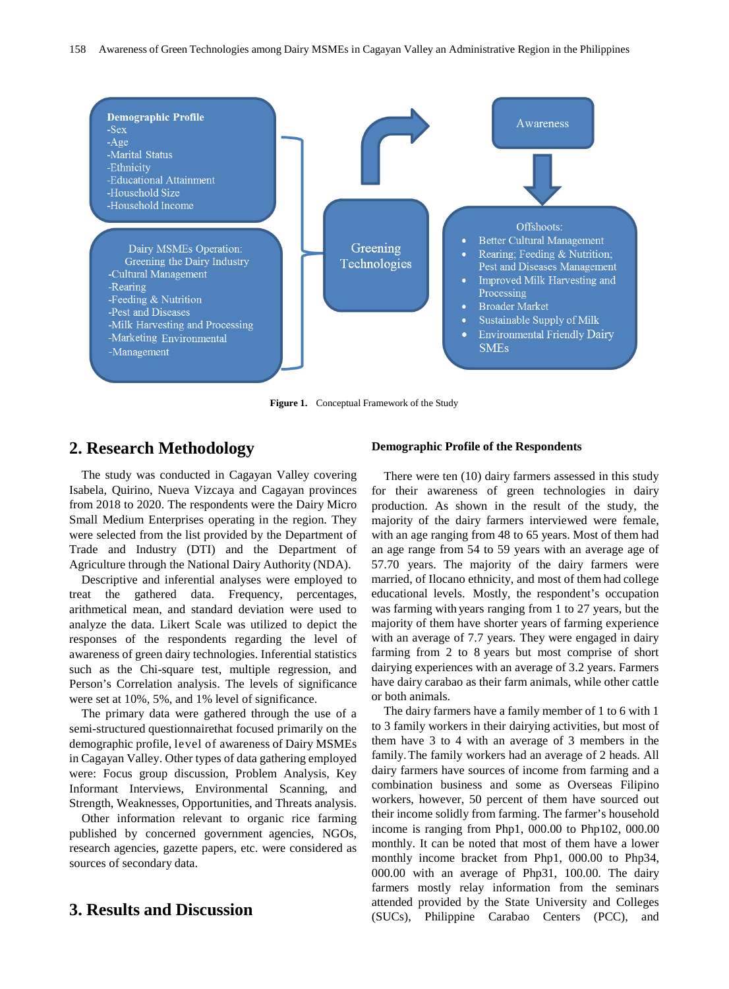

**Figure 1.** Conceptual Framework of the Study

# **2. Research Methodology**

The study was conducted in Cagayan Valley covering Isabela, Quirino, Nueva Vizcaya and Cagayan provinces from 2018 to 2020. The respondents were the Dairy Micro Small Medium Enterprises operating in the region. They were selected from the list provided by the Department of Trade and Industry (DTI) and the Department of Agriculture through the National Dairy Authority (NDA).

Descriptive and inferential analyses were employed to treat the gathered data. Frequency, percentages, arithmetical mean, and standard deviation were used to analyze the data. Likert Scale was utilized to depict the responses of the respondents regarding the level of awareness of green dairy technologies. Inferential statistics such as the Chi-square test, multiple regression, and Person's Correlation analysis. The levels of significance were set at 10%, 5%, and 1% level of significance.

The primary data were gathered through the use of a semi-structured questionnairethat focused primarily on the demographic profile, level of awareness of Dairy MSMEs in Cagayan Valley. Other types of data gathering employed were: Focus group discussion, Problem Analysis, Key Informant Interviews, Environmental Scanning, and Strength, Weaknesses, Opportunities, and Threats analysis.

Other information relevant to organic rice farming published by concerned government agencies, NGOs, research agencies, gazette papers, etc. were considered as sources of secondary data.

# **3. Results and Discussion**

#### **Demographic Profile of the Respondents**

There were ten (10) dairy farmers assessed in this study for their awareness of green technologies in dairy production. As shown in the result of the study, the majority of the dairy farmers interviewed were female, with an age ranging from 48 to 65 years. Most of them had an age range from 54 to 59 years with an average age of 57.70 years. The majority of the dairy farmers were married, of Ilocano ethnicity, and most of them had college educational levels. Mostly, the respondent's occupation was farming with years ranging from 1 to 27 years, but the majority of them have shorter years of farming experience with an average of 7.7 years. They were engaged in dairy farming from 2 to 8 years but most comprise of short dairying experiences with an average of 3.2 years. Farmers have dairy carabao as their farm animals, while other cattle or both animals.

The dairy farmers have a family member of 1 to 6 with 1 to 3 family workers in their dairying activities, but most of them have 3 to 4 with an average of 3 members in the family.The family workers had an average of 2 heads. All dairy farmers have sources of income from farming and a combination business and some as Overseas Filipino workers, however, 50 percent of them have sourced out their income solidly from farming. The farmer's household income is ranging from Php1, 000.00 to Php102, 000.00 monthly. It can be noted that most of them have a lower monthly income bracket from Php1, 000.00 to Php34, 000.00 with an average of Php31, 100.00. The dairy farmers mostly relay information from the seminars attended provided by the State University and Colleges (SUCs), Philippine Carabao Centers (PCC), and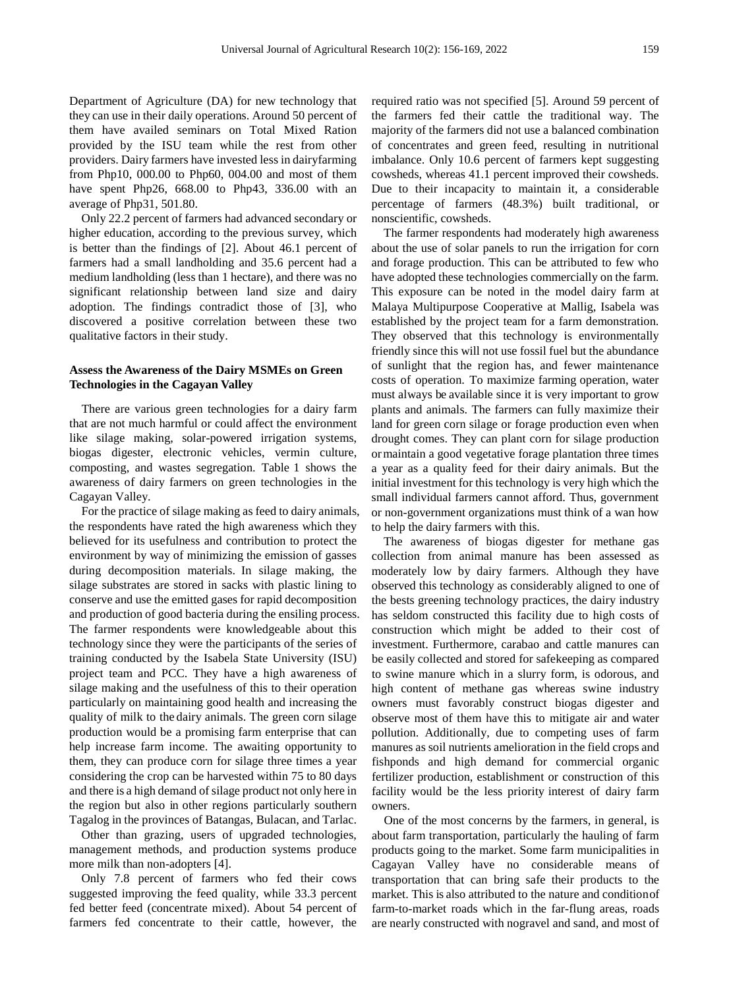Department of Agriculture (DA) for new technology that they can use in their daily operations. Around 50 percent of them have availed seminars on Total Mixed Ration provided by the ISU team while the rest from other providers. Dairy farmers have invested less in dairyfarming from Php10, 000.00 to Php60, 004.00 and most of them have spent Php26, 668.00 to Php43, 336.00 with an average of Php31, 501.80.

Only 22.2 percent of farmers had advanced secondary or higher education, according to the previous survey, which is better than the findings of [2]. About 46.1 percent of farmers had a small landholding and 35.6 percent had a medium landholding (less than 1 hectare), and there was no significant relationship between land size and dairy adoption. The findings contradict those of [3], who discovered a positive correlation between these two qualitative factors in their study.

#### **Assess the Awareness of the Dairy MSMEs on Green Technologies in the Cagayan Valley**

There are various green technologies for a dairy farm that are not much harmful or could affect the environment like silage making, solar-powered irrigation systems, biogas digester, electronic vehicles, vermin culture, composting, and wastes segregation. Table 1 shows the awareness of dairy farmers on green technologies in the Cagayan Valley.

For the practice of silage making as feed to dairy animals, the respondents have rated the high awareness which they believed for its usefulness and contribution to protect the environment by way of minimizing the emission of gasses during decomposition materials. In silage making, the silage substrates are stored in sacks with plastic lining to conserve and use the emitted gases for rapid decomposition and production of good bacteria during the ensiling process. The farmer respondents were knowledgeable about this technology since they were the participants of the series of training conducted by the Isabela State University (ISU) project team and PCC. They have a high awareness of silage making and the usefulness of this to their operation particularly on maintaining good health and increasing the quality of milk to the dairy animals. The green corn silage production would be a promising farm enterprise that can help increase farm income. The awaiting opportunity to them, they can produce corn for silage three times a year considering the crop can be harvested within 75 to 80 days and there is a high demand of silage product not only here in the region but also in other regions particularly southern Tagalog in the provinces of Batangas, Bulacan, and Tarlac.

Other than grazing, users of upgraded technologies, management methods, and production systems produce more milk than non-adopters [4].

Only 7.8 percent of farmers who fed their cows suggested improving the feed quality, while 33.3 percent fed better feed (concentrate mixed). About 54 percent of farmers fed concentrate to their cattle, however, the

required ratio was not specified [5]. Around 59 percent of the farmers fed their cattle the traditional way. The majority of the farmers did not use a balanced combination of concentrates and green feed, resulting in nutritional imbalance. Only 10.6 percent of farmers kept suggesting cowsheds, whereas 41.1 percent improved their cowsheds. Due to their incapacity to maintain it, a considerable percentage of farmers (48.3%) built traditional, or nonscientific, cowsheds.

The farmer respondents had moderately high awareness about the use of solar panels to run the irrigation for corn and forage production. This can be attributed to few who have adopted these technologies commercially on the farm. This exposure can be noted in the model dairy farm at Malaya Multipurpose Cooperative at Mallig, Isabela was established by the project team for a farm demonstration. They observed that this technology is environmentally friendly since this will not use fossil fuel but the abundance of sunlight that the region has, and fewer maintenance costs of operation. To maximize farming operation, water must always be available since it is very important to grow plants and animals. The farmers can fully maximize their land for green corn silage or forage production even when drought comes. They can plant corn for silage production ormaintain a good vegetative forage plantation three times a year as a quality feed for their dairy animals. But the initial investment for this technology is very high which the small individual farmers cannot afford. Thus, government or non-government organizations must think of a wan how to help the dairy farmers with this.

The awareness of biogas digester for methane gas collection from animal manure has been assessed as moderately low by dairy farmers. Although they have observed this technology as considerably aligned to one of the bests greening technology practices, the dairy industry has seldom constructed this facility due to high costs of construction which might be added to their cost of investment. Furthermore, carabao and cattle manures can be easily collected and stored for safekeeping as compared to swine manure which in a slurry form, is odorous, and high content of methane gas whereas swine industry owners must favorably construct biogas digester and observe most of them have this to mitigate air and water pollution. Additionally, due to competing uses of farm manures as soil nutrients amelioration in the field crops and fishponds and high demand for commercial organic fertilizer production, establishment or construction of this facility would be the less priority interest of dairy farm owners.

One of the most concerns by the farmers, in general, is about farm transportation, particularly the hauling of farm products going to the market. Some farm municipalities in Cagayan Valley have no considerable means of transportation that can bring safe their products to the market. This is also attributed to the nature and conditionof farm-to-market roads which in the far-flung areas, roads are nearly constructed with nogravel and sand, and most of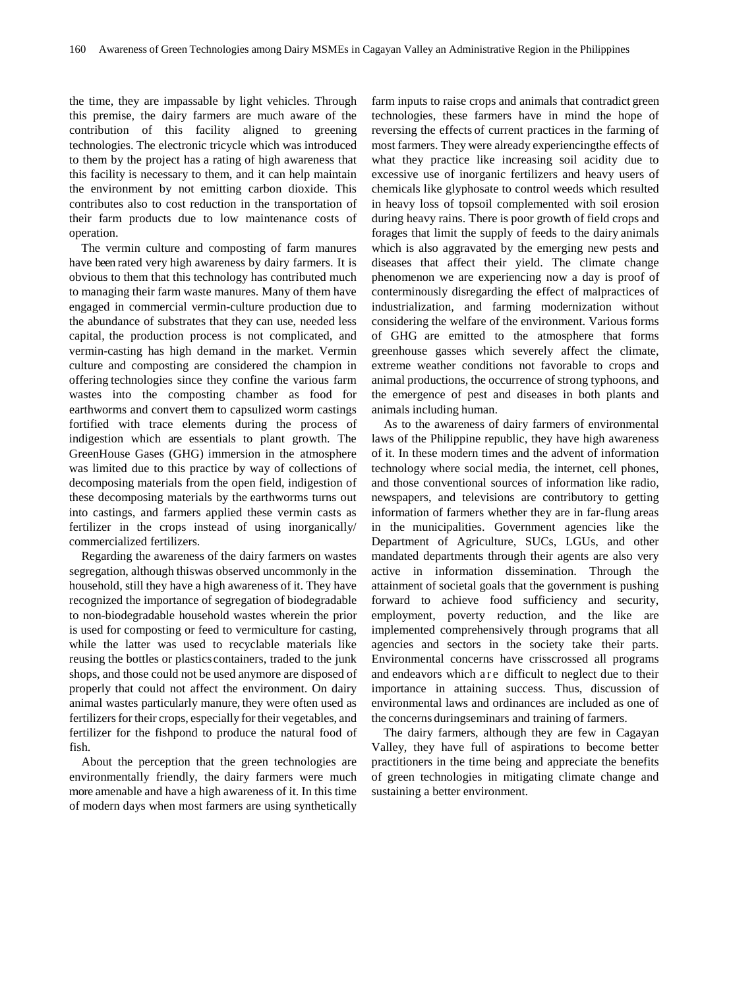the time, they are impassable by light vehicles. Through this premise, the dairy farmers are much aware of the contribution of this facility aligned to greening technologies. The electronic tricycle which was introduced to them by the project has a rating of high awareness that this facility is necessary to them, and it can help maintain the environment by not emitting carbon dioxide. This contributes also to cost reduction in the transportation of their farm products due to low maintenance costs of operation.

The vermin culture and composting of farm manures have been rated very high awareness by dairy farmers. It is obvious to them that this technology has contributed much to managing their farm waste manures. Many of them have engaged in commercial vermin-culture production due to the abundance of substrates that they can use, needed less capital, the production process is not complicated, and vermin-casting has high demand in the market. Vermin culture and composting are considered the champion in offering technologies since they confine the various farm wastes into the composting chamber as food for earthworms and convert them to capsulized worm castings fortified with trace elements during the process of indigestion which are essentials to plant growth. The GreenHouse Gases (GHG) immersion in the atmosphere was limited due to this practice by way of collections of decomposing materials from the open field, indigestion of these decomposing materials by the earthworms turns out into castings, and farmers applied these vermin casts as fertilizer in the crops instead of using inorganically/ commercialized fertilizers.

Regarding the awareness of the dairy farmers on wastes segregation, although thiswas observed uncommonly in the household, still they have a high awareness of it. They have recognized the importance of segregation of biodegradable to non-biodegradable household wastes wherein the prior is used for composting or feed to vermiculture for casting, while the latter was used to recyclable materials like reusing the bottles or plastics containers, traded to the junk shops, and those could not be used anymore are disposed of properly that could not affect the environment. On dairy animal wastes particularly manure, they were often used as fertilizers for their crops, especially for their vegetables, and fertilizer for the fishpond to produce the natural food of fish.

About the perception that the green technologies are environmentally friendly, the dairy farmers were much more amenable and have a high awareness of it. In this time of modern days when most farmers are using synthetically

farm inputs to raise crops and animals that contradict green technologies, these farmers have in mind the hope of reversing the effects of current practices in the farming of most farmers. They were already experiencingthe effects of what they practice like increasing soil acidity due to excessive use of inorganic fertilizers and heavy users of chemicals like glyphosate to control weeds which resulted in heavy loss of topsoil complemented with soil erosion during heavy rains. There is poor growth of field crops and forages that limit the supply of feeds to the dairy animals which is also aggravated by the emerging new pests and diseases that affect their yield. The climate change phenomenon we are experiencing now a day is proof of conterminously disregarding the effect of malpractices of industrialization, and farming modernization without considering the welfare of the environment. Various forms of GHG are emitted to the atmosphere that forms greenhouse gasses which severely affect the climate, extreme weather conditions not favorable to crops and animal productions, the occurrence of strong typhoons, and the emergence of pest and diseases in both plants and animals including human.

As to the awareness of dairy farmers of environmental laws of the Philippine republic, they have high awareness of it. In these modern times and the advent of information technology where social media, the internet, cell phones, and those conventional sources of information like radio, newspapers, and televisions are contributory to getting information of farmers whether they are in far-flung areas in the municipalities. Government agencies like the Department of Agriculture, SUCs, LGUs, and other mandated departments through their agents are also very active in information dissemination. Through the attainment of societal goals that the government is pushing forward to achieve food sufficiency and security, employment, poverty reduction, and the like are implemented comprehensively through programs that all agencies and sectors in the society take their parts. Environmental concerns have crisscrossed all programs and endeavors which are difficult to neglect due to their importance in attaining success. Thus, discussion of environmental laws and ordinances are included as one of the concerns duringseminars and training of farmers.

The dairy farmers, although they are few in Cagayan Valley, they have full of aspirations to become better practitioners in the time being and appreciate the benefits of green technologies in mitigating climate change and sustaining a better environment.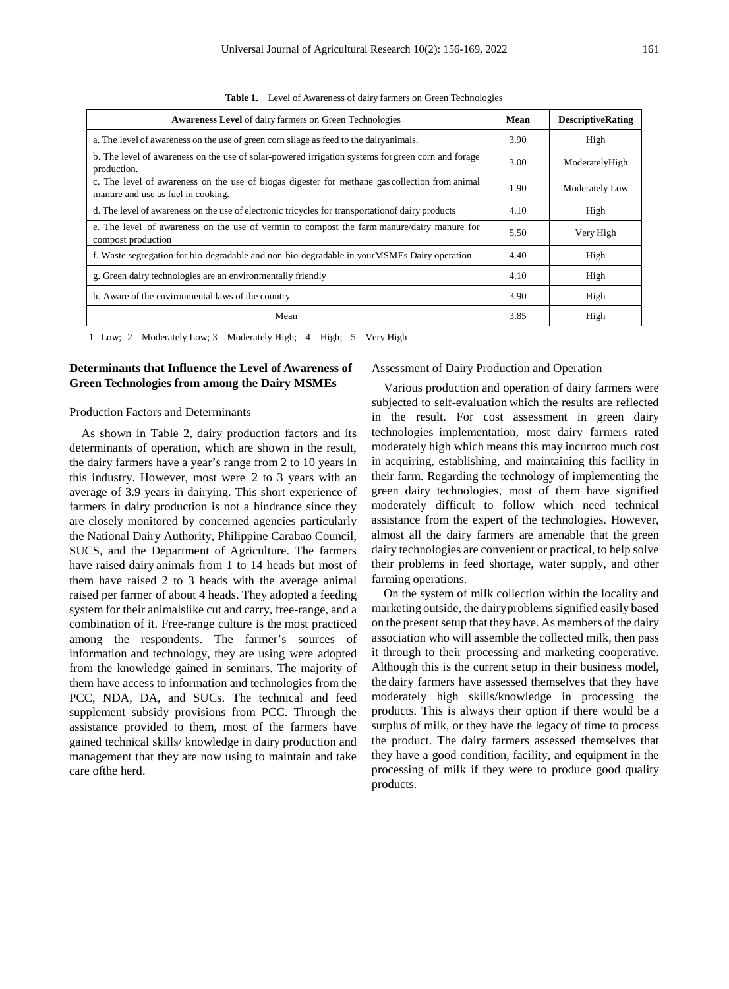| <b>Awareness Level</b> of dairy farmers on Green Technologies                                                                        | Mean | <b>DescriptiveRating</b> |
|--------------------------------------------------------------------------------------------------------------------------------------|------|--------------------------|
| a. The level of awareness on the use of green corn silage as feed to the dairyanimals.                                               | 3.90 | High                     |
| b. The level of awareness on the use of solar-powered irrigation systems for green corn and forage<br>production.                    | 3.00 | ModeratelyHigh           |
| c. The level of awareness on the use of biogas digester for methane gas collection from animal<br>manure and use as fuel in cooking. | 1.90 | Moderately Low           |
| d. The level of awareness on the use of electronic tricycles for transportation of dairy products                                    | 4.10 | High                     |
| e. The level of awareness on the use of vermin to compost the farm manure/dairy manure for<br>compost production                     | 5.50 | Very High                |
| f. Waste segregation for bio-degradable and non-bio-degradable in your MSMEs Dairy operation                                         | 4.40 | High                     |
| g. Green dairy technologies are an environmentally friendly                                                                          | 4.10 | High                     |
| h. Aware of the environmental laws of the country                                                                                    | 3.90 | High                     |
| Mean                                                                                                                                 | 3.85 | High                     |

**Table 1.** Level of Awareness of dairy farmers on Green Technologies

1– Low; 2 – Moderately Low; 3 – Moderately High; 4 – High; 5 – Very High

#### **Determinants that Influence the Level of Awareness of Green Technologies from among the Dairy MSMEs**

#### Production Factors and Determinants

As shown in Table 2, dairy production factors and its determinants of operation, which are shown in the result, the dairy farmers have a year's range from 2 to 10 years in this industry. However, most were 2 to 3 years with an average of 3.9 years in dairying. This short experience of farmers in dairy production is not a hindrance since they are closely monitored by concerned agencies particularly the National Dairy Authority, Philippine Carabao Council, SUCS, and the Department of Agriculture. The farmers have raised dairy animals from 1 to 14 heads but most of them have raised 2 to 3 heads with the average animal raised per farmer of about 4 heads. They adopted a feeding system for their animalslike cut and carry, free-range, and a combination of it. Free-range culture is the most practiced among the respondents. The farmer's sources of information and technology, they are using were adopted from the knowledge gained in seminars. The majority of them have access to information and technologies from the PCC, NDA, DA, and SUCs. The technical and feed supplement subsidy provisions from PCC. Through the assistance provided to them, most of the farmers have gained technical skills/ knowledge in dairy production and management that they are now using to maintain and take care ofthe herd.

#### Assessment of Dairy Production and Operation

Various production and operation of dairy farmers were subjected to self-evaluation which the results are reflected in the result. For cost assessment in green dairy technologies implementation, most dairy farmers rated moderately high which means this may incurtoo much cost in acquiring, establishing, and maintaining this facility in their farm. Regarding the technology of implementing the green dairy technologies, most of them have signified moderately difficult to follow which need technical assistance from the expert of the technologies. However, almost all the dairy farmers are amenable that the green dairy technologies are convenient or practical, to help solve their problems in feed shortage, water supply, and other farming operations.

On the system of milk collection within the locality and marketing outside, the dairy problems signified easily based on the present setup that they have. As members of the dairy association who will assemble the collected milk, then pass it through to their processing and marketing cooperative. Although this is the current setup in their business model, the dairy farmers have assessed themselves that they have moderately high skills/knowledge in processing the products. This is always their option if there would be a surplus of milk, or they have the legacy of time to process the product. The dairy farmers assessed themselves that they have a good condition, facility, and equipment in the processing of milk if they were to produce good quality products.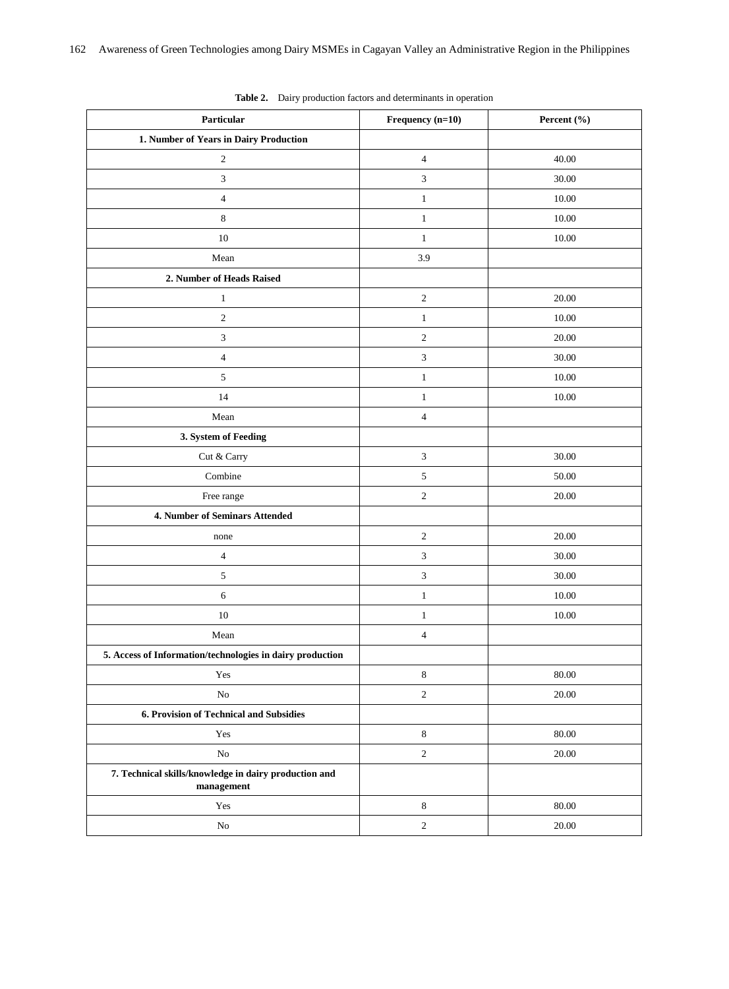| Particular                                                          | Frequency (n=10)        | Percent (%) |
|---------------------------------------------------------------------|-------------------------|-------------|
| 1. Number of Years in Dairy Production                              |                         |             |
| $\sqrt{2}$                                                          | $\overline{\mathbf{4}}$ | 40.00       |
| $\mathfrak{Z}$                                                      | $\mathfrak{Z}$          | 30.00       |
| $\sqrt{4}$                                                          | $\mathbf{1}$            | 10.00       |
| $\,$ 8 $\,$                                                         | $\,1$                   | 10.00       |
| 10                                                                  | $\mathbf{1}$            | 10.00       |
| Mean                                                                | 3.9                     |             |
| 2. Number of Heads Raised                                           |                         |             |
| $\,1\,$                                                             | $\sqrt{2}$              | 20.00       |
| $\sqrt{2}$                                                          | $\mathbf{1}$            | 10.00       |
| $\ensuremath{\mathfrak{Z}}$                                         | $\sqrt{2}$              | 20.00       |
| $\sqrt{4}$                                                          | 3                       | 30.00       |
| $\sqrt{5}$                                                          | $\mathbf{1}$            | 10.00       |
| 14                                                                  | $\mathbf{1}$            | 10.00       |
| Mean                                                                | $\overline{4}$          |             |
| 3. System of Feeding                                                |                         |             |
| Cut & Carry                                                         | $\mathfrak{Z}$          | 30.00       |
| Combine                                                             | $\sqrt{5}$              | 50.00       |
| Free range                                                          | $\mathfrak{2}$          | 20.00       |
| 4. Number of Seminars Attended                                      |                         |             |
| none                                                                | $\boldsymbol{2}$        | 20.00       |
| $\sqrt{4}$                                                          | $\mathfrak{Z}$          | 30.00       |
| $\sqrt{5}$                                                          | $\mathfrak{Z}$          | 30.00       |
| $\sqrt{6}$                                                          | $\mathbf{1}$            | 10.00       |
| 10                                                                  | $\mathbf{1}$            | 10.00       |
| Mean                                                                | $\overline{\mathbf{4}}$ |             |
| 5. Access of Information/technologies in dairy production           |                         |             |
| Yes                                                                 | 8                       | 80.00       |
| $\rm No$                                                            | $\sqrt{2}$              | 20.00       |
| 6. Provision of Technical and Subsidies                             |                         |             |
| Yes                                                                 | $\,8\,$                 | 80.00       |
| $\rm No$                                                            | $\boldsymbol{2}$        | 20.00       |
| 7. Technical skills/knowledge in dairy production and<br>management |                         |             |
| Yes                                                                 | $\,8\,$                 | 80.00       |
| ${\rm No}$                                                          | $\sqrt{2}$              | 20.00       |

**Table 2.** Dairy production factors and determinants in operation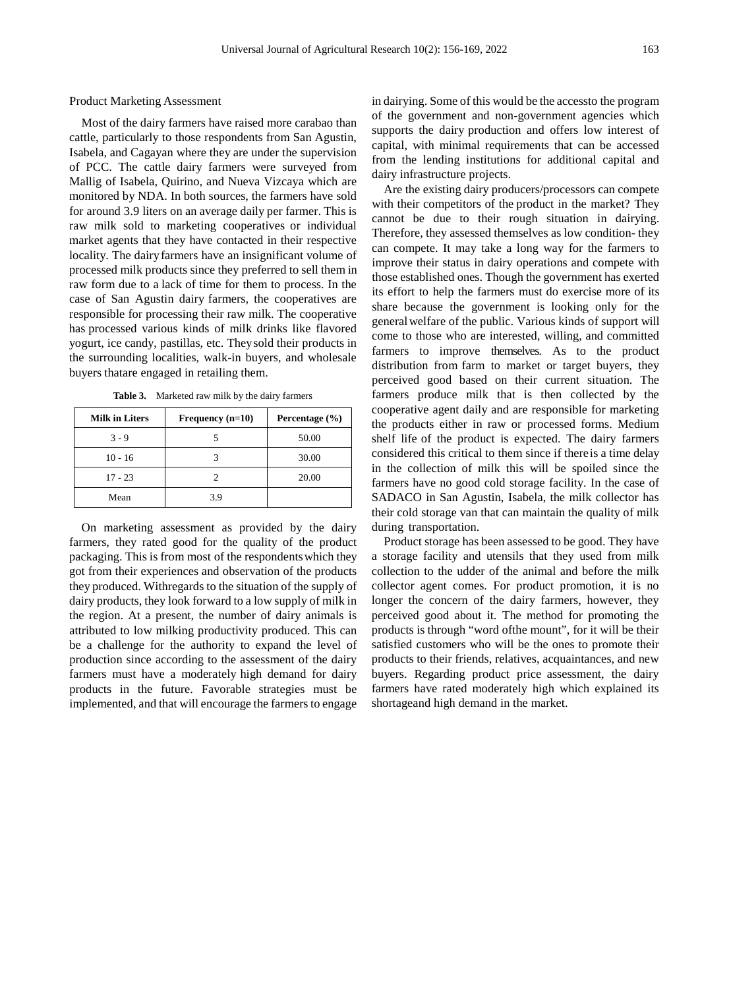Most of the dairy farmers have raised more carabao than cattle, particularly to those respondents from San Agustin, Isabela, and Cagayan where they are under the supervision of PCC. The cattle dairy farmers were surveyed from Mallig of Isabela, Quirino, and Nueva Vizcaya which are monitored by NDA. In both sources, the farmers have sold for around 3.9 liters on an average daily per farmer. This is raw milk sold to marketing cooperatives or individual market agents that they have contacted in their respective locality. The dairyfarmers have an insignificant volume of processed milk products since they preferred to sell them in raw form due to a lack of time for them to process. In the case of San Agustin dairy farmers, the cooperatives are responsible for processing their raw milk. The cooperative has processed various kinds of milk drinks like flavored yogurt, ice candy, pastillas, etc. Theysold their products in the surrounding localities, walk-in buyers, and wholesale buyers thatare engaged in retailing them.

**Table 3.** Marketed raw milk by the dairy farmers

| <b>Milk in Liters</b> | Frequency $(n=10)$ | Percentage $(\% )$ |
|-----------------------|--------------------|--------------------|
| $3 - 9$               |                    | 50.00              |
| $10 - 16$             |                    | 30.00              |
| $17 - 23$             |                    | 20.00              |
| Mean                  | 39                 |                    |

On marketing assessment as provided by the dairy farmers, they rated good for the quality of the product packaging. This is from most of the respondentswhich they got from their experiences and observation of the products they produced. Withregards to the situation of the supply of dairy products, they look forward to a low supply of milk in the region. At a present, the number of dairy animals is attributed to low milking productivity produced. This can be a challenge for the authority to expand the level of production since according to the assessment of the dairy farmers must have a moderately high demand for dairy products in the future. Favorable strategies must be implemented, and that will encourage the farmers to engage

in dairying. Some of this would be the accessto the program of the government and non-government agencies which supports the dairy production and offers low interest of capital, with minimal requirements that can be accessed from the lending institutions for additional capital and dairy infrastructure projects.

Are the existing dairy producers/processors can compete with their competitors of the product in the market? They cannot be due to their rough situation in dairying. Therefore, they assessed themselves as low condition- they can compete. It may take a long way for the farmers to improve their status in dairy operations and compete with those established ones. Though the government has exerted its effort to help the farmers must do exercise more of its share because the government is looking only for the generalwelfare of the public. Various kinds of support will come to those who are interested, willing, and committed farmers to improve themselves. As to the product distribution from farm to market or target buyers, they perceived good based on their current situation. The farmers produce milk that is then collected by the cooperative agent daily and are responsible for marketing the products either in raw or processed forms. Medium shelf life of the product is expected. The dairy farmers considered this critical to them since if thereis a time delay in the collection of milk this will be spoiled since the farmers have no good cold storage facility. In the case of SADACO in San Agustin, Isabela, the milk collector has their cold storage van that can maintain the quality of milk during transportation.

Product storage has been assessed to be good. They have a storage facility and utensils that they used from milk collection to the udder of the animal and before the milk collector agent comes. For product promotion, it is no longer the concern of the dairy farmers, however, they perceived good about it. The method for promoting the products is through "word ofthe mount", for it will be their satisfied customers who will be the ones to promote their products to their friends, relatives, acquaintances, and new buyers. Regarding product price assessment, the dairy farmers have rated moderately high which explained its shortageand high demand in the market.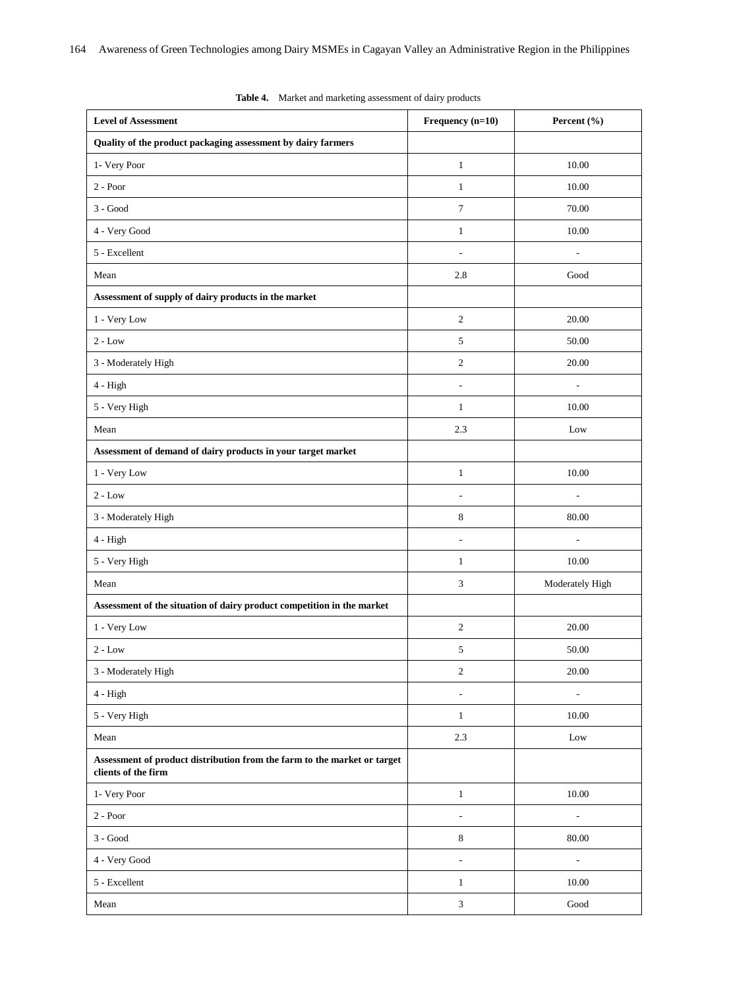| <b>Level of Assessment</b>                                                                      | Frequency (n=10)             | Percent $(\% )$          |
|-------------------------------------------------------------------------------------------------|------------------------------|--------------------------|
| Quality of the product packaging assessment by dairy farmers                                    |                              |                          |
| 1- Very Poor                                                                                    | $\mathbf{1}$                 | 10.00                    |
| $2 - Poor$                                                                                      | $\mathbf{1}$                 | 10.00                    |
| $3 - Good$                                                                                      | $\tau$                       | 70.00                    |
| 4 - Very Good                                                                                   | $\mathbf{1}$                 | 10.00                    |
| 5 - Excellent                                                                                   | $\qquad \qquad \blacksquare$ | $\overline{\phantom{a}}$ |
| Mean                                                                                            | 2.8                          | Good                     |
| Assessment of supply of dairy products in the market                                            |                              |                          |
| 1 - Very Low                                                                                    | $\sqrt{2}$                   | 20.00                    |
| $2 - Low$                                                                                       | 5                            | 50.00                    |
| 3 - Moderately High                                                                             | $\sqrt{2}$                   | 20.00                    |
| 4 - High                                                                                        | ÷,                           | $\overline{\phantom{a}}$ |
| 5 - Very High                                                                                   | $\mathbf{1}$                 | 10.00                    |
| Mean                                                                                            | 2.3                          | Low                      |
| Assessment of demand of dairy products in your target market                                    |                              |                          |
| 1 - Very Low                                                                                    | $\mathbf{1}$                 | 10.00                    |
| $2 - Low$                                                                                       | ä,                           | ÷,                       |
| 3 - Moderately High                                                                             | 8                            | 80.00                    |
| 4 - High                                                                                        | L,                           | ÷.                       |
| 5 - Very High                                                                                   | $\mathbf{1}$                 | 10.00                    |
| Mean                                                                                            | $\mathfrak{Z}$               | Moderately High          |
| Assessment of the situation of dairy product competition in the market                          |                              |                          |
| 1 - Very Low                                                                                    | $\sqrt{2}$                   | 20.00                    |
| $2 - Low$                                                                                       | 5                            | 50.00                    |
| 3 - Moderately High                                                                             | $\sqrt{2}$                   | 20.00                    |
| 4 - High                                                                                        | $\qquad \qquad \blacksquare$ | ÷,                       |
| 5 - Very High                                                                                   | $\mathbf{1}$                 | 10.00                    |
| Mean                                                                                            | 2.3                          | $_{\rm Low}$             |
| Assessment of product distribution from the farm to the market or target<br>clients of the firm |                              |                          |
| 1- Very Poor                                                                                    | $1\,$                        | $10.00\,$                |
| $2$ - $\mbox{Poor}$                                                                             | ÷,                           | $\overline{\phantom{a}}$ |
| $3$ - ${\rm Good}$                                                                              | $\,8\,$                      | $80.00\,$                |
| 4 - Very Good                                                                                   | L,                           | $\overline{\phantom{a}}$ |
| 5 - Excellent                                                                                   | $\mathbf{1}$                 | $10.00\,$                |
| Mean                                                                                            | $\ensuremath{\mathfrak{Z}}$  | $\operatorname{Good}$    |

| Table 4. | Market and marketing assessment of dairy products |  |  |  |  |
|----------|---------------------------------------------------|--|--|--|--|
|----------|---------------------------------------------------|--|--|--|--|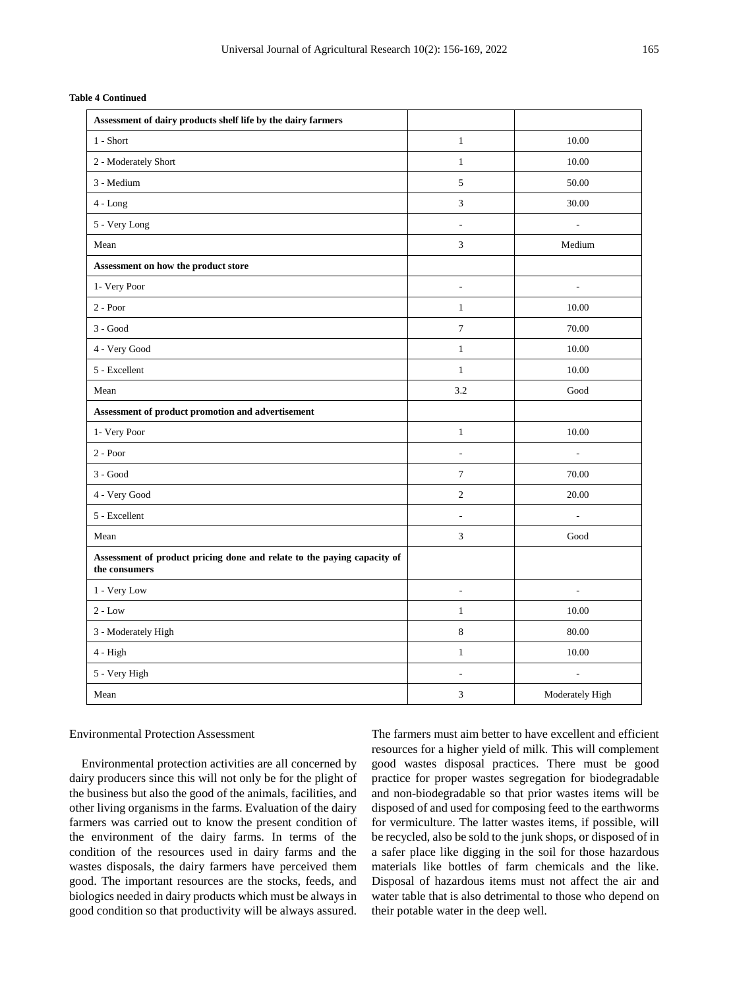| Assessment of dairy products shelf life by the dairy farmers |                          |       |
|--------------------------------------------------------------|--------------------------|-------|
| 1 - Short                                                    | 1                        | 10.00 |
| 2 - Moderately Short                                         | 1                        | 10.00 |
| 3 - Medium                                                   | 5                        | 50.00 |
| $4 - Long$                                                   | 3                        | 30.00 |
| 5 - Very Long                                                | $\overline{\phantom{a}}$ | ۰     |
| Mean                                                         | 3                        | Mediu |
| Assessment on how the product store                          |                          |       |
| 1- Very Poor                                                 | $\overline{\phantom{a}}$ |       |
| $2 - Poor$                                                   | 1                        | 10.00 |
| $3 - Good$                                                   | 7                        | 70.00 |
| 4 - Very Good                                                | 1                        | 10.00 |
| 5 - Excellent                                                | 1                        | 10.00 |
|                                                              |                          |       |

|  | <b>Table 4 Continued</b> |
|--|--------------------------|
|--|--------------------------|

| Mean                                                                                     | 3              | Medium                   |
|------------------------------------------------------------------------------------------|----------------|--------------------------|
| Assessment on how the product store                                                      |                |                          |
| 1- Very Poor                                                                             | ٠              | ÷,                       |
| $2 - Poor$                                                                               | 1              | 10.00                    |
| $3 - Good$                                                                               | $\overline{7}$ | 70.00                    |
| 4 - Very Good                                                                            | $\mathbf{1}$   | 10.00                    |
| 5 - Excellent                                                                            | $\mathbf{1}$   | 10.00                    |
| Mean                                                                                     | 3.2            | Good                     |
| Assessment of product promotion and advertisement                                        |                |                          |
| 1- Very Poor                                                                             | $\mathbf{1}$   | 10.00                    |
| $2 - Poor$                                                                               | ٠              |                          |
| $3 - Good$                                                                               | $\tau$         | 70.00                    |
| 4 - Very Good                                                                            | 2              | 20.00                    |
| 5 - Excellent                                                                            | ٠              |                          |
| Mean                                                                                     | $\mathfrak{Z}$ | Good                     |
| Assessment of product pricing done and relate to the paying capacity of<br>the consumers |                |                          |
| 1 - Very Low                                                                             | ÷              | ٠                        |
| $2 - Low$                                                                                | $\mathbf{1}$   | 10.00                    |
| 3 - Moderately High                                                                      | 8              | 80.00                    |
| $4 - High$                                                                               | 1              | 10.00                    |
| 5 - Very High                                                                            | ÷              | $\overline{\phantom{a}}$ |
| Mean                                                                                     | 3              | Moderately High          |

#### Environmental Protection Assessment

Environmental protection activities are all concerned by dairy producers since this will not only be for the plight of the business but also the good of the animals, facilities, and other living organisms in the farms. Evaluation of the dairy farmers was carried out to know the present condition of the environment of the dairy farms. In terms of the condition of the resources used in dairy farms and the wastes disposals, the dairy farmers have perceived them good. The important resources are the stocks, feeds, and biologics needed in dairy products which must be always in good condition so that productivity will be always assured.

The farmers must aim better to have excellent and efficient resources for a higher yield of milk. This will complement good wastes disposal practices. There must be good practice for proper wastes segregation for biodegradable and non-biodegradable so that prior wastes items will be disposed of and used for composing feed to the earthworms for vermiculture. The latter wastes items, if possible, will be recycled, also be sold to the junk shops, or disposed of in a safer place like digging in the soil for those hazardous materials like bottles of farm chemicals and the like. Disposal of hazardous items must not affect the air and water table that is also detrimental to those who depend on their potable water in the deep well.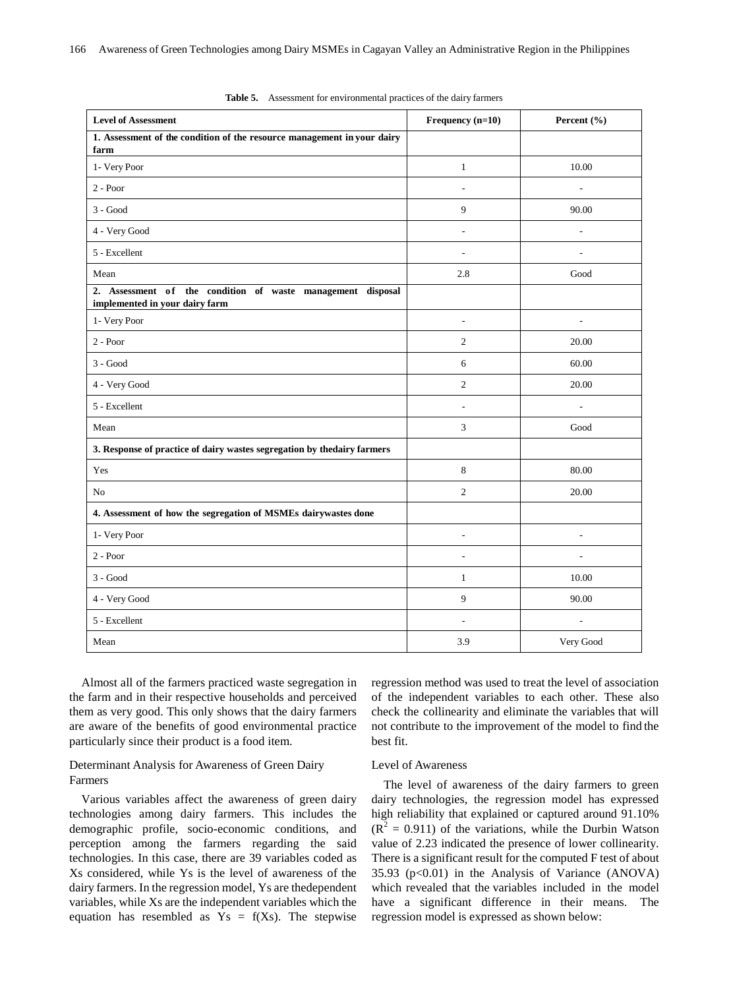| <b>Level of Assessment</b>                                                                    | Frequency (n=10)         | Percent (%)                  |
|-----------------------------------------------------------------------------------------------|--------------------------|------------------------------|
| 1. Assessment of the condition of the resource management in your dairy<br>farm               |                          |                              |
| 1- Very Poor                                                                                  | $\mathbf{1}$             | 10.00                        |
| $2 - Poor$                                                                                    | L.                       | ÷.                           |
| $3 - Good$                                                                                    | 9                        | 90.00                        |
| 4 - Very Good                                                                                 | L,                       | L,                           |
| 5 - Excellent                                                                                 |                          | L,                           |
| Mean                                                                                          | 2.8                      | Good                         |
| 2. Assessment of the condition of waste management disposal<br>implemented in your dairy farm |                          |                              |
| 1- Very Poor                                                                                  | $\overline{\phantom{a}}$ | $\overline{a}$               |
| $2 - Poor$                                                                                    | $\overline{2}$           | 20.00                        |
| $3 - Good$                                                                                    | 6                        | 60.00                        |
| 4 - Very Good                                                                                 | $\overline{2}$           | 20.00                        |
| 5 - Excellent                                                                                 | $\overline{\phantom{a}}$ | $\qquad \qquad \blacksquare$ |
| Mean                                                                                          | $\mathfrak{Z}$           | Good                         |
| 3. Response of practice of dairy wastes segregation by thedairy farmers                       |                          |                              |
| Yes                                                                                           | $\,8\,$                  | 80.00                        |
| N <sub>o</sub>                                                                                | 2                        | 20.00                        |
| 4. Assessment of how the segregation of MSMEs dairywastes done                                |                          |                              |
| 1- Very Poor                                                                                  | $\overline{\phantom{a}}$ | $\frac{1}{2}$                |
| $2 - Poor$                                                                                    | $\overline{a}$           | L,                           |
| $3 - Good$                                                                                    | $\mathbf{1}$             | 10.00                        |
| 4 - Very Good                                                                                 | 9                        | 90.00                        |
| 5 - Excellent                                                                                 | $\overline{\phantom{a}}$ | $\overline{\phantom{a}}$     |
| Mean                                                                                          | 3.9                      | Very Good                    |

Almost all of the farmers practiced waste segregation in the farm and in their respective households and perceived them as very good. This only shows that the dairy farmers are aware of the benefits of good environmental practice particularly since their product is a food item.

## Determinant Analysis for Awareness of Green Dairy Farmers

Various variables affect the awareness of green dairy technologies among dairy farmers. This includes the demographic profile, socio-economic conditions, and perception among the farmers regarding the said technologies. In this case, there are 39 variables coded as Xs considered, while Ys is the level of awareness of the dairy farmers. In the regression model, Ys are thedependent variables, while Xs are the independent variables which the equation has resembled as  $Y_s = f(X_s)$ . The stepwise

regression method was used to treat the level of association of the independent variables to each other. These also check the collinearity and eliminate the variables that will not contribute to the improvement of the model to find the best fit.

#### Level of Awareness

The level of awareness of the dairy farmers to green dairy technologies, the regression model has expressed high reliability that explained or captured around 91.10%  $(R^{2} = 0.911)$  of the variations, while the Durbin Watson value of 2.23 indicated the presence of lower collinearity. There is a significant result for the computed F test of about  $35.93$  ( $p<0.01$ ) in the Analysis of Variance (ANOVA) which revealed that the variables included in the model have a significant difference in their means. The regression model is expressed as shown below: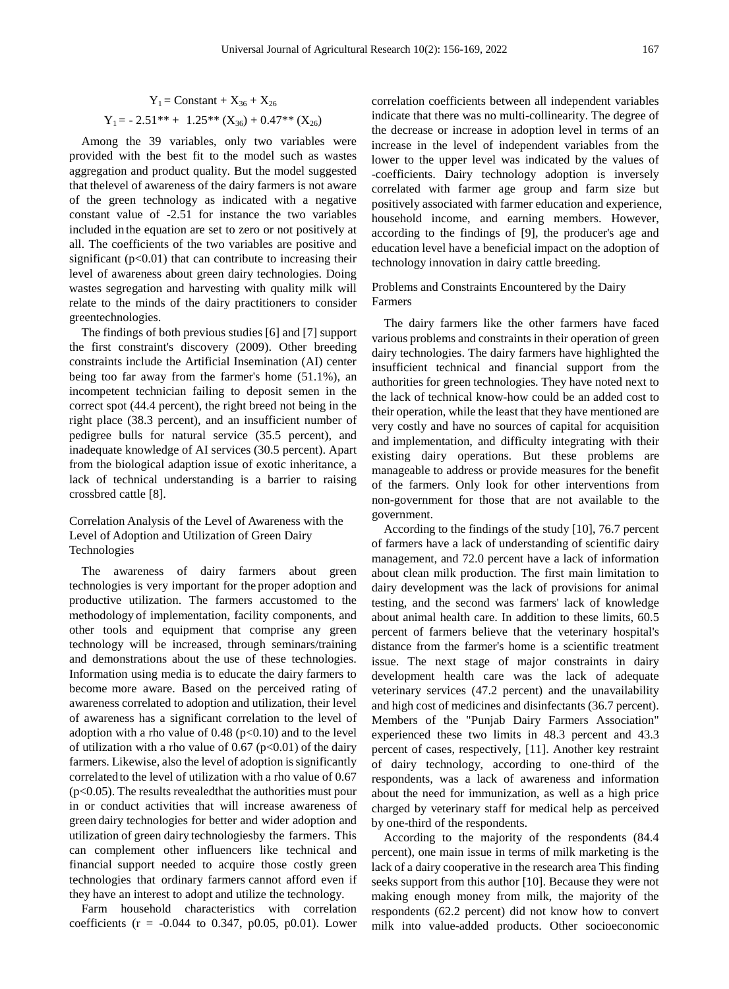$$
Y_1 = \text{Constant} + X_{36} + X_{26}
$$
  
 
$$
Y_1 = -2.51^{**} + 1.25^{**} (X_{36}) + 0.47^{**} (X_{26})
$$

Among the 39 variables, only two variables were provided with the best fit to the model such as wastes aggregation and product quality. But the model suggested that thelevel of awareness of the dairy farmers is not aware of the green technology as indicated with a negative constant value of -2.51 for instance the two variables included in the equation are set to zero or not positively at all. The coefficients of the two variables are positive and significant  $(p<0.01)$  that can contribute to increasing their level of awareness about green dairy technologies. Doing wastes segregation and harvesting with quality milk will relate to the minds of the dairy practitioners to consider greentechnologies.

The findings of both previous studies [6] and [7] support the first constraint's discovery (2009). Other breeding constraints include the Artificial Insemination (AI) center being too far away from the farmer's home (51.1%), an incompetent technician failing to deposit semen in the correct spot (44.4 percent), the right breed not being in the right place (38.3 percent), and an insufficient number of pedigree bulls for natural service (35.5 percent), and inadequate knowledge of AI services (30.5 percent). Apart from the biological adaption issue of exotic inheritance, a lack of technical understanding is a barrier to raising crossbred cattle [8].

### Correlation Analysis of the Level of Awareness with the Level of Adoption and Utilization of Green Dairy Technologies

The awareness of dairy farmers about green technologies is very important for the proper adoption and productive utilization. The farmers accustomed to the methodology of implementation, facility components, and other tools and equipment that comprise any green technology will be increased, through seminars/training and demonstrations about the use of these technologies. Information using media is to educate the dairy farmers to become more aware. Based on the perceived rating of awareness correlated to adoption and utilization, their level of awareness has a significant correlation to the level of adoption with a rho value of 0.48 ( $p<0.10$ ) and to the level of utilization with a rho value of  $0.67$  (p<0.01) of the dairy farmers. Likewise, also the level of adoption is significantly correlatedto the level of utilization with a rho value of 0.67 (p<0.05). The results revealedthat the authorities must pour in or conduct activities that will increase awareness of green dairy technologies for better and wider adoption and utilization of green dairy technologiesby the farmers. This can complement other influencers like technical and financial support needed to acquire those costly green technologies that ordinary farmers cannot afford even if they have an interest to adopt and utilize the technology.

Farm household characteristics with correlation coefficients ( $r = -0.044$  to 0.347, p0.05, p0.01). Lower

correlation coefficients between all independent variables indicate that there was no multi-collinearity. The degree of the decrease or increase in adoption level in terms of an increase in the level of independent variables from the lower to the upper level was indicated by the values of -coefficients. Dairy technology adoption is inversely correlated with farmer age group and farm size but positively associated with farmer education and experience, household income, and earning members. However, according to the findings of [9], the producer's age and education level have a beneficial impact on the adoption of technology innovation in dairy cattle breeding.

#### Problems and Constraints Encountered by the Dairy Farmers

The dairy farmers like the other farmers have faced various problems and constraints in their operation of green dairy technologies. The dairy farmers have highlighted the insufficient technical and financial support from the authorities for green technologies. They have noted next to the lack of technical know-how could be an added cost to their operation, while the least that they have mentioned are very costly and have no sources of capital for acquisition and implementation, and difficulty integrating with their existing dairy operations. But these problems are manageable to address or provide measures for the benefit of the farmers. Only look for other interventions from non-government for those that are not available to the government.

According to the findings of the study [10], 76.7 percent of farmers have a lack of understanding of scientific dairy management, and 72.0 percent have a lack of information about clean milk production. The first main limitation to dairy development was the lack of provisions for animal testing, and the second was farmers' lack of knowledge about animal health care. In addition to these limits, 60.5 percent of farmers believe that the veterinary hospital's distance from the farmer's home is a scientific treatment issue. The next stage of major constraints in dairy development health care was the lack of adequate veterinary services (47.2 percent) and the unavailability and high cost of medicines and disinfectants (36.7 percent). Members of the "Punjab Dairy Farmers Association" experienced these two limits in 48.3 percent and 43.3 percent of cases, respectively, [11]. Another key restraint of dairy technology, according to one-third of the respondents, was a lack of awareness and information about the need for immunization, as well as a high price charged by veterinary staff for medical help as perceived by one-third of the respondents.

According to the majority of the respondents (84.4 percent), one main issue in terms of milk marketing is the lack of a dairy cooperative in the research area This finding seeks support from this author [10]. Because they were not making enough money from milk, the majority of the respondents (62.2 percent) did not know how to convert milk into value-added products. Other socioeconomic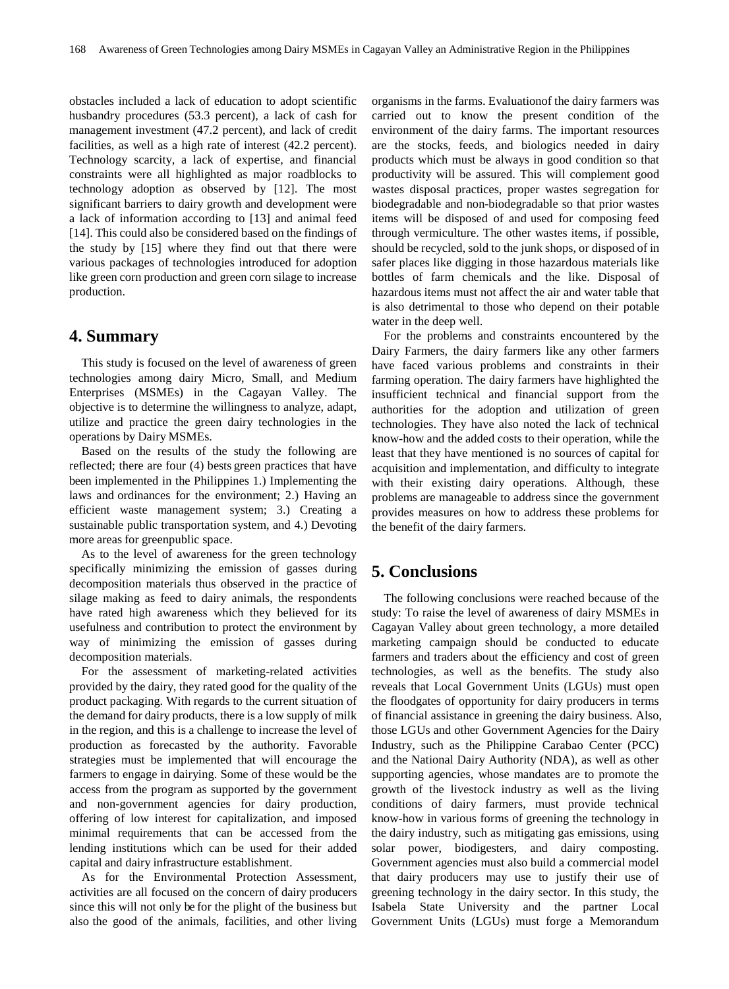obstacles included a lack of education to adopt scientific husbandry procedures (53.3 percent), a lack of cash for management investment (47.2 percent), and lack of credit facilities, as well as a high rate of interest (42.2 percent). Technology scarcity, a lack of expertise, and financial constraints were all highlighted as major roadblocks to technology adoption as observed by [12]. The most significant barriers to dairy growth and development were a lack of information according to [13] and animal feed [14]. This could also be considered based on the findings of the study by [15] where they find out that there were various packages of technologies introduced for adoption like green corn production and green corn silage to increase production.

## **4. Summary**

This study is focused on the level of awareness of green technologies among dairy Micro, Small, and Medium Enterprises (MSMEs) in the Cagayan Valley. The objective is to determine the willingness to analyze, adapt, utilize and practice the green dairy technologies in the operations by Dairy MSMEs.

Based on the results of the study the following are reflected; there are four (4) bests green practices that have been implemented in the Philippines 1.) Implementing the laws and ordinances for the environment; 2.) Having an efficient waste management system; 3.) Creating a sustainable public transportation system, and 4.) Devoting more areas for greenpublic space.

As to the level of awareness for the green technology specifically minimizing the emission of gasses during decomposition materials thus observed in the practice of silage making as feed to dairy animals, the respondents have rated high awareness which they believed for its usefulness and contribution to protect the environment by way of minimizing the emission of gasses during decomposition materials.

For the assessment of marketing-related activities provided by the dairy, they rated good for the quality of the product packaging. With regards to the current situation of the demand for dairy products, there is a low supply of milk in the region, and this is a challenge to increase the level of production as forecasted by the authority. Favorable strategies must be implemented that will encourage the farmers to engage in dairying. Some of these would be the access from the program as supported by the government and non-government agencies for dairy production, offering of low interest for capitalization, and imposed minimal requirements that can be accessed from the lending institutions which can be used for their added capital and dairy infrastructure establishment.

As for the Environmental Protection Assessment, activities are all focused on the concern of dairy producers since this will not only be for the plight of the business but also the good of the animals, facilities, and other living

organisms in the farms. Evaluationof the dairy farmers was carried out to know the present condition of the environment of the dairy farms. The important resources are the stocks, feeds, and biologics needed in dairy products which must be always in good condition so that productivity will be assured. This will complement good wastes disposal practices, proper wastes segregation for biodegradable and non-biodegradable so that prior wastes items will be disposed of and used for composing feed through vermiculture. The other wastes items, if possible, should be recycled, sold to the junk shops, or disposed of in safer places like digging in those hazardous materials like bottles of farm chemicals and the like. Disposal of hazardous items must not affect the air and water table that is also detrimental to those who depend on their potable water in the deep well.

For the problems and constraints encountered by the Dairy Farmers, the dairy farmers like any other farmers have faced various problems and constraints in their farming operation. The dairy farmers have highlighted the insufficient technical and financial support from the authorities for the adoption and utilization of green technologies. They have also noted the lack of technical know-how and the added costs to their operation, while the least that they have mentioned is no sources of capital for acquisition and implementation, and difficulty to integrate with their existing dairy operations. Although, these problems are manageable to address since the government provides measures on how to address these problems for the benefit of the dairy farmers.

# **5. Conclusions**

The following conclusions were reached because of the study: To raise the level of awareness of dairy MSMEs in Cagayan Valley about green technology, a more detailed marketing campaign should be conducted to educate farmers and traders about the efficiency and cost of green technologies, as well as the benefits. The study also reveals that Local Government Units (LGUs) must open the floodgates of opportunity for dairy producers in terms of financial assistance in greening the dairy business. Also, those LGUs and other Government Agencies for the Dairy Industry, such as the Philippine Carabao Center (PCC) and the National Dairy Authority (NDA), as well as other supporting agencies, whose mandates are to promote the growth of the livestock industry as well as the living conditions of dairy farmers, must provide technical know-how in various forms of greening the technology in the dairy industry, such as mitigating gas emissions, using solar power, biodigesters, and dairy composting. Government agencies must also build a commercial model that dairy producers may use to justify their use of greening technology in the dairy sector. In this study, the Isabela State University and the partner Local Government Units (LGUs) must forge a Memorandum